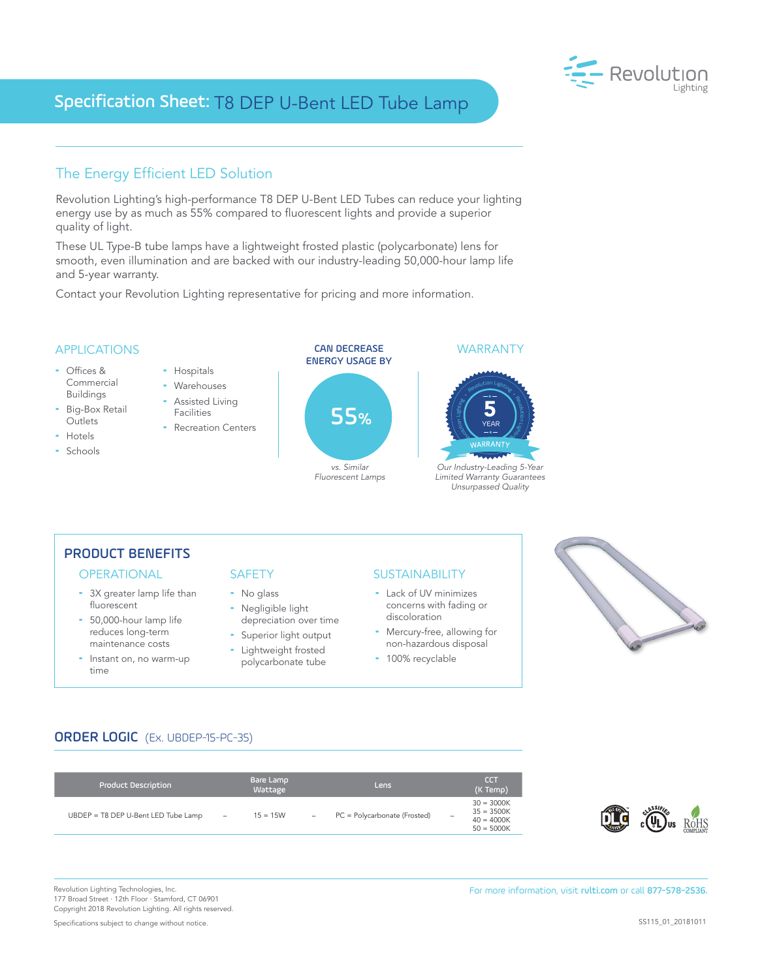# Specification Sheet: T8 DEP U-Bent LED Tube Lamp



## The Energy Efficient LED Solution

Revolution Lighting's high-performance T8 DEP U-Bent LED Tubes can reduce your lighting energy use by as much as 55% compared to fluorescent lights and provide a superior quality of light.

These UL Type-B tube lamps have a lightweight frosted plastic (polycarbonate) lens for smooth, even illumination and are backed with our industry-leading 50,000-hour lamp life and 5-year warranty.

Contact your Revolution Lighting representative for pricing and more information.



## PRODUCT BENEFITS

- 3X greater lamp life than fluorescent
- 50,000-hour lamp life reduces long-term maintenance costs
- Instant on, no warm-up time

- No glass - Negligible light
- depreciation over time **-** Superior light output
- Lightweight frosted
- polycarbonate tube

### OPERATIONAL SAFETY SUSTAINABILITY

- Lack of UV minimizes concerns with fading or discoloration
- Mercury-free, allowing for non-hazardous disposal
- 100% recyclable



# ORDER LOGIC (Ex. UBDEP-15-PC-35)

| <b>Product Description</b>          | Bare Lamp<br>Wattage                   | Lens                                                            | <b>CCT</b><br>(K Temp)                                                                   |
|-------------------------------------|----------------------------------------|-----------------------------------------------------------------|------------------------------------------------------------------------------------------|
| UBDEP = T8 DEP U-Bent LED Tube Lamp | $15 = 15W$<br>$\overline{\phantom{a}}$ | PC = Polycarbonate (Frosted)<br>$\hspace{0.1mm}-\hspace{0.1mm}$ | $30 = 3000K$<br>$35 = 3500K$<br>$\overline{\phantom{a}}$<br>$40 = 4000K$<br>$50 = 5000K$ |



177 Broad Street · 12th Floor · Stamford, CT 06901 Copyright 2018 Revolution Lighting. All rights reserved.

Specifications subject to change without notice.